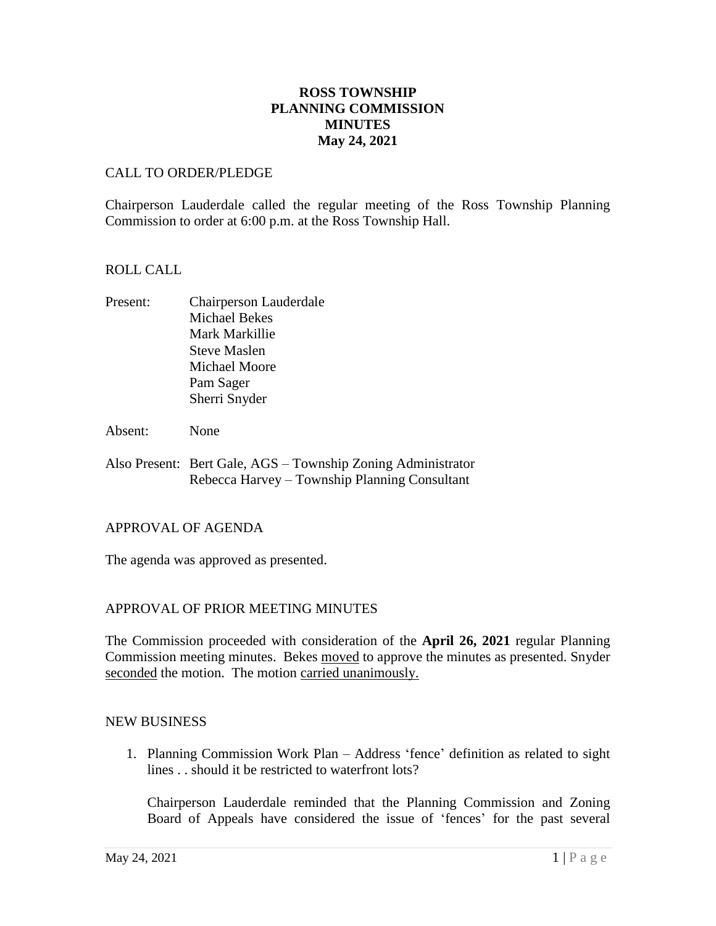# **ROSS TOWNSHIP PLANNING COMMISSION MINUTES May 24, 2021**

### CALL TO ORDER/PLEDGE

Chairperson Lauderdale called the regular meeting of the Ross Township Planning Commission to order at 6:00 p.m. at the Ross Township Hall.

### ROLL CALL

- Present: Chairperson Lauderdale Michael Bekes Mark Markillie Steve Maslen Michael Moore Pam Sager Sherri Snyder
- Absent: None
- Also Present: Bert Gale, AGS Township Zoning Administrator Rebecca Harvey – Township Planning Consultant

### APPROVAL OF AGENDA

The agenda was approved as presented.

### APPROVAL OF PRIOR MEETING MINUTES

The Commission proceeded with consideration of the **April 26, 2021** regular Planning Commission meeting minutes. Bekes moved to approve the minutes as presented. Snyder seconded the motion. The motion carried unanimously.

### NEW BUSINESS

1. Planning Commission Work Plan – Address 'fence' definition as related to sight lines . . should it be restricted to waterfront lots?

Chairperson Lauderdale reminded that the Planning Commission and Zoning Board of Appeals have considered the issue of 'fences' for the past several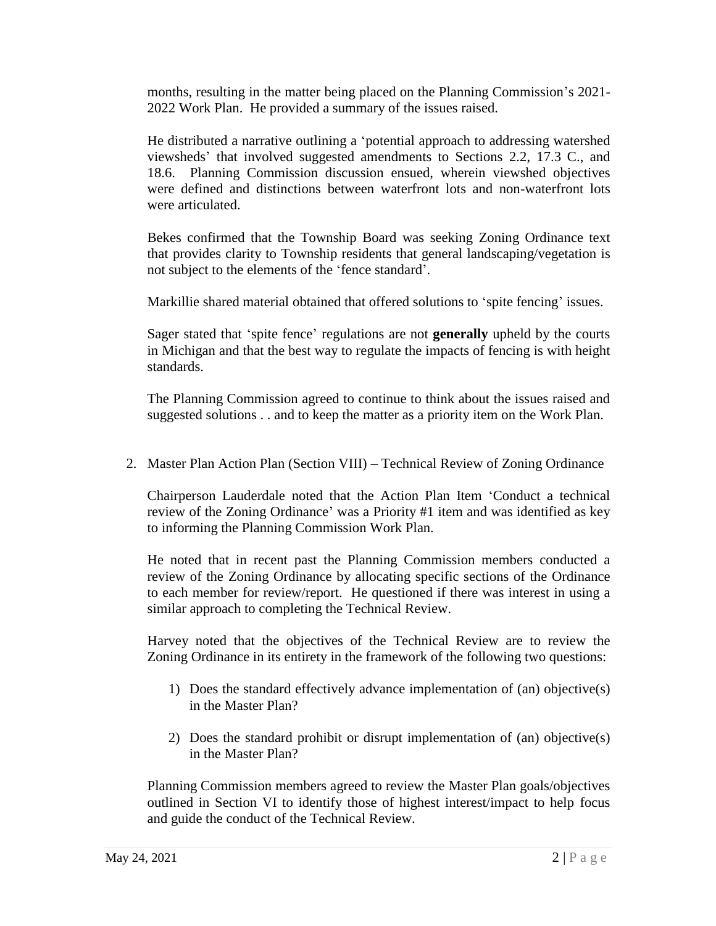months, resulting in the matter being placed on the Planning Commission's 2021- 2022 Work Plan. He provided a summary of the issues raised.

He distributed a narrative outlining a 'potential approach to addressing watershed viewsheds' that involved suggested amendments to Sections 2.2, 17.3 C., and 18.6. Planning Commission discussion ensued, wherein viewshed objectives were defined and distinctions between waterfront lots and non-waterfront lots were articulated.

Bekes confirmed that the Township Board was seeking Zoning Ordinance text that provides clarity to Township residents that general landscaping/vegetation is not subject to the elements of the 'fence standard'.

Markillie shared material obtained that offered solutions to 'spite fencing' issues.

Sager stated that 'spite fence' regulations are not **generally** upheld by the courts in Michigan and that the best way to regulate the impacts of fencing is with height standards.

The Planning Commission agreed to continue to think about the issues raised and suggested solutions . . and to keep the matter as a priority item on the Work Plan.

2. Master Plan Action Plan (Section VIII) – Technical Review of Zoning Ordinance

Chairperson Lauderdale noted that the Action Plan Item 'Conduct a technical review of the Zoning Ordinance' was a Priority #1 item and was identified as key to informing the Planning Commission Work Plan.

He noted that in recent past the Planning Commission members conducted a review of the Zoning Ordinance by allocating specific sections of the Ordinance to each member for review/report. He questioned if there was interest in using a similar approach to completing the Technical Review.

Harvey noted that the objectives of the Technical Review are to review the Zoning Ordinance in its entirety in the framework of the following two questions:

- 1) Does the standard effectively advance implementation of (an) objective(s) in the Master Plan?
- 2) Does the standard prohibit or disrupt implementation of (an) objective(s) in the Master Plan?

Planning Commission members agreed to review the Master Plan goals/objectives outlined in Section VI to identify those of highest interest/impact to help focus and guide the conduct of the Technical Review.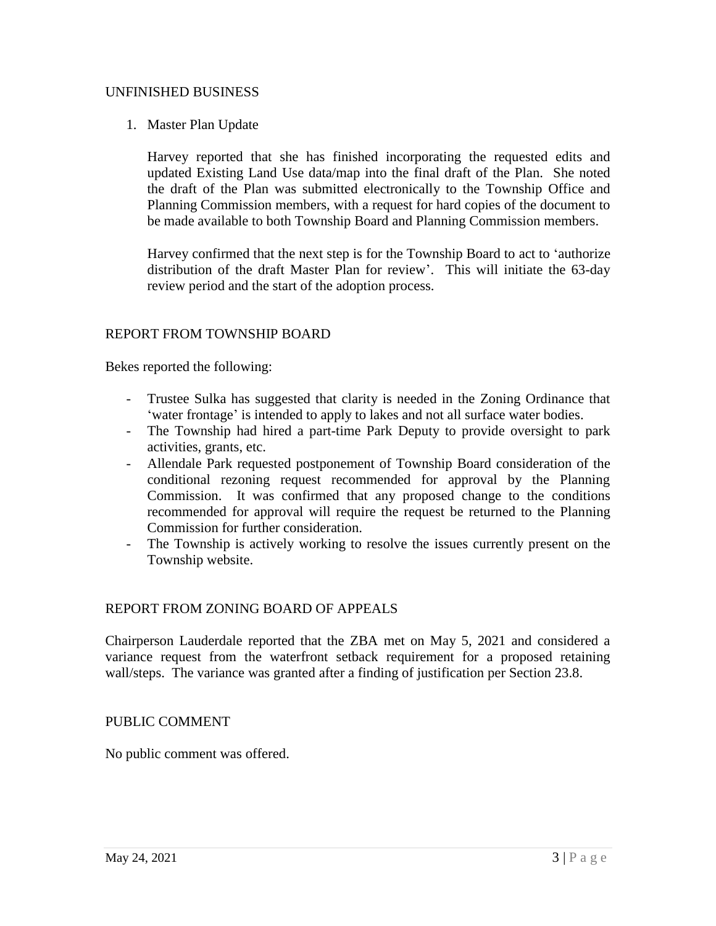### UNFINISHED BUSINESS

## 1. Master Plan Update

Harvey reported that she has finished incorporating the requested edits and updated Existing Land Use data/map into the final draft of the Plan. She noted the draft of the Plan was submitted electronically to the Township Office and Planning Commission members, with a request for hard copies of the document to be made available to both Township Board and Planning Commission members.

Harvey confirmed that the next step is for the Township Board to act to 'authorize distribution of the draft Master Plan for review'. This will initiate the 63-day review period and the start of the adoption process.

## REPORT FROM TOWNSHIP BOARD

Bekes reported the following:

- Trustee Sulka has suggested that clarity is needed in the Zoning Ordinance that 'water frontage' is intended to apply to lakes and not all surface water bodies.
- The Township had hired a part-time Park Deputy to provide oversight to park activities, grants, etc.
- Allendale Park requested postponement of Township Board consideration of the conditional rezoning request recommended for approval by the Planning Commission. It was confirmed that any proposed change to the conditions recommended for approval will require the request be returned to the Planning Commission for further consideration.
- The Township is actively working to resolve the issues currently present on the Township website.

### REPORT FROM ZONING BOARD OF APPEALS

Chairperson Lauderdale reported that the ZBA met on May 5, 2021 and considered a variance request from the waterfront setback requirement for a proposed retaining wall/steps. The variance was granted after a finding of justification per Section 23.8.

### PUBLIC COMMENT

No public comment was offered.